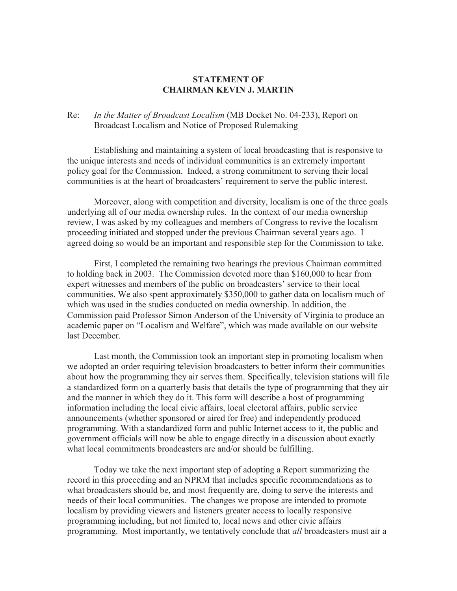## **STATEMENT OF CHAIRMAN KEVIN J. MARTIN**

## Re: *In the Matter of Broadcast Localism* (MB Docket No. 04-233), Report on Broadcast Localism and Notice of Proposed Rulemaking

Establishing and maintaining a system of local broadcasting that is responsive to the unique interests and needs of individual communities is an extremely important policy goal for the Commission. Indeed, a strong commitment to serving their local communities is at the heart of broadcasters' requirement to serve the public interest.

Moreover, along with competition and diversity, localism is one of the three goals underlying all of our media ownership rules. In the context of our media ownership review, I was asked by my colleagues and members of Congress to revive the localism proceeding initiated and stopped under the previous Chairman several years ago. I agreed doing so would be an important and responsible step for the Commission to take.

First, I completed the remaining two hearings the previous Chairman committed to holding back in 2003. The Commission devoted more than \$160,000 to hear from expert witnesses and members of the public on broadcasters' service to their local communities. We also spent approximately \$350,000 to gather data on localism much of which was used in the studies conducted on media ownership. In addition, the Commission paid Professor Simon Anderson of the University of Virginia to produce an academic paper on "Localism and Welfare", which was made available on our website last December.

Last month, the Commission took an important step in promoting localism when we adopted an order requiring television broadcasters to better inform their communities about how the programming they air serves them. Specifically, television stations will file a standardized form on a quarterly basis that details the type of programming that they air and the manner in which they do it. This form will describe a host of programming information including the local civic affairs, local electoral affairs, public service announcements (whether sponsored or aired for free) and independently produced programming. With a standardized form and public Internet access to it, the public and government officials will now be able to engage directly in a discussion about exactly what local commitments broadcasters are and/or should be fulfilling.

Today we take the next important step of adopting a Report summarizing the record in this proceeding and an NPRM that includes specific recommendations as to what broadcasters should be, and most frequently are, doing to serve the interests and needs of their local communities. The changes we propose are intended to promote localism by providing viewers and listeners greater access to locally responsive programming including, but not limited to, local news and other civic affairs programming. Most importantly, we tentatively conclude that *all* broadcasters must air a